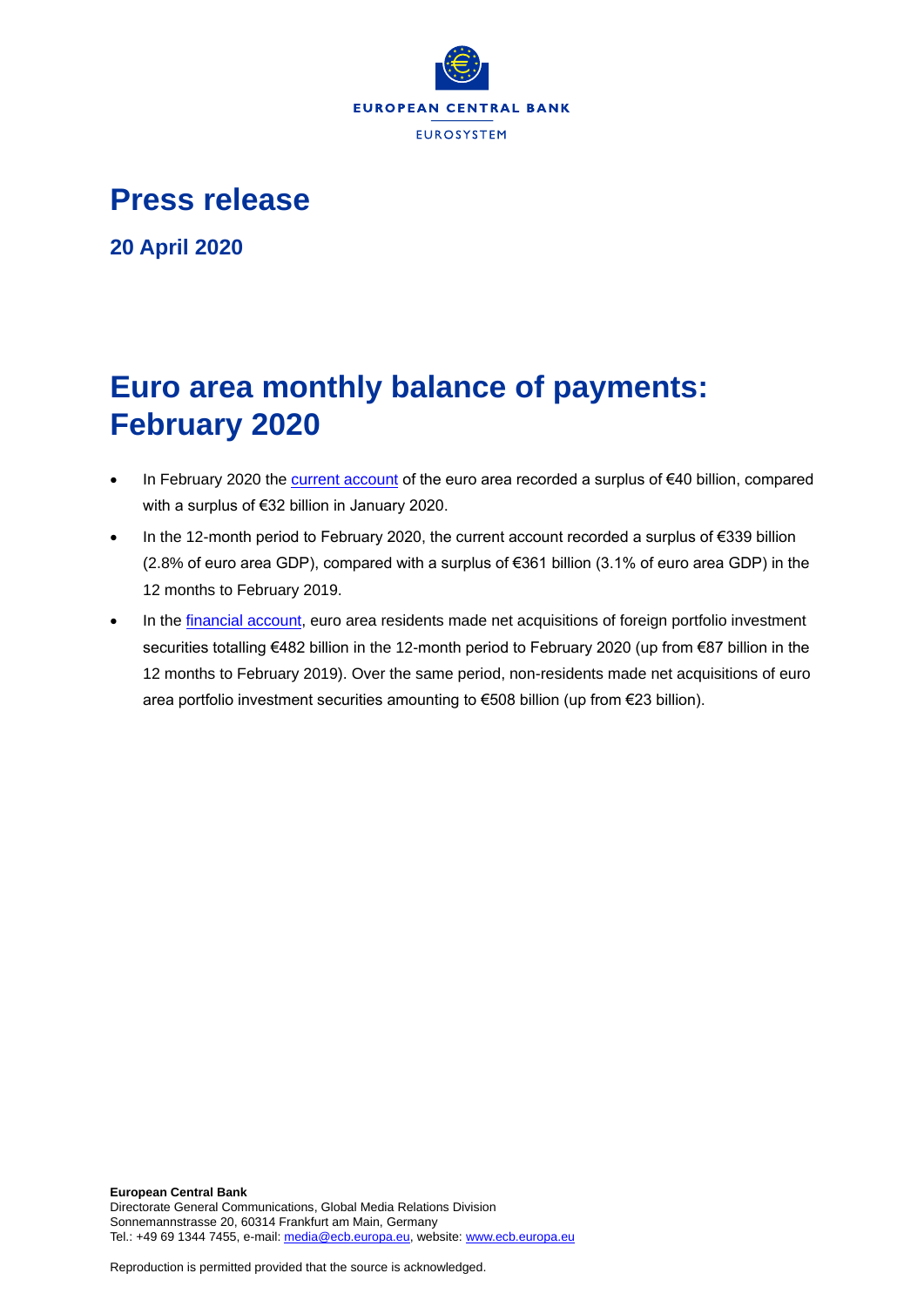

**Press release**

**20 April 2020**

# **Euro area monthly balance of payments: February 2020**

- In February 2020 th[e current account](http://sdw.ecb.europa.eu/browseSelection.do?df=true&ec=&dc=&oc=&pb=&rc=&dataSET=0&removeItem=D&removedItemList=&mergeFilter=&activeTab=BP6&showHide=&FREQ.243=M&ADJUSTMENT.243=Y&REF_AREA.243=I8&ACCOUNTING_ENTRY.243=B&INT_ACC_ITEM.243=CA&node=9688874&legendRef=reference) of the euro area recorded a surplus of €40 billion, compared with a surplus of €32 billion in January 2020.
- In the 12-month period to February 2020, the current account recorded a surplus of €339 billion (2.8% of euro area GDP), compared with a surplus of €361 billion (3.1% of euro area GDP) in the 12 months to February 2019.
- In the [financial account,](http://sdw.ecb.europa.eu/browseSelection.do?type=series&q=BP6.M.N.I8.W1.S1.S1.T.N.FA._T.F._Z.EUR._T._X.N+BP6.M.N.I8.W1.S1.S1.T.A.FA.P.F._Z.EUR._T.M.N+BP6.M.N.I8.W1.S1.S1.T.L.FA.P.F._Z.EUR._T.M.N&node=SEARCHRESULTS&ec=&oc=&rc=&cv=&pb=&dc=&df=) euro area residents made net acquisitions of foreign portfolio investment securities totalling €482 billion in the 12-month period to February 2020 (up from €87 billion in the 12 months to February 2019). Over the same period, non-residents made net acquisitions of euro area portfolio investment securities amounting to €508 billion (up from €23 billion).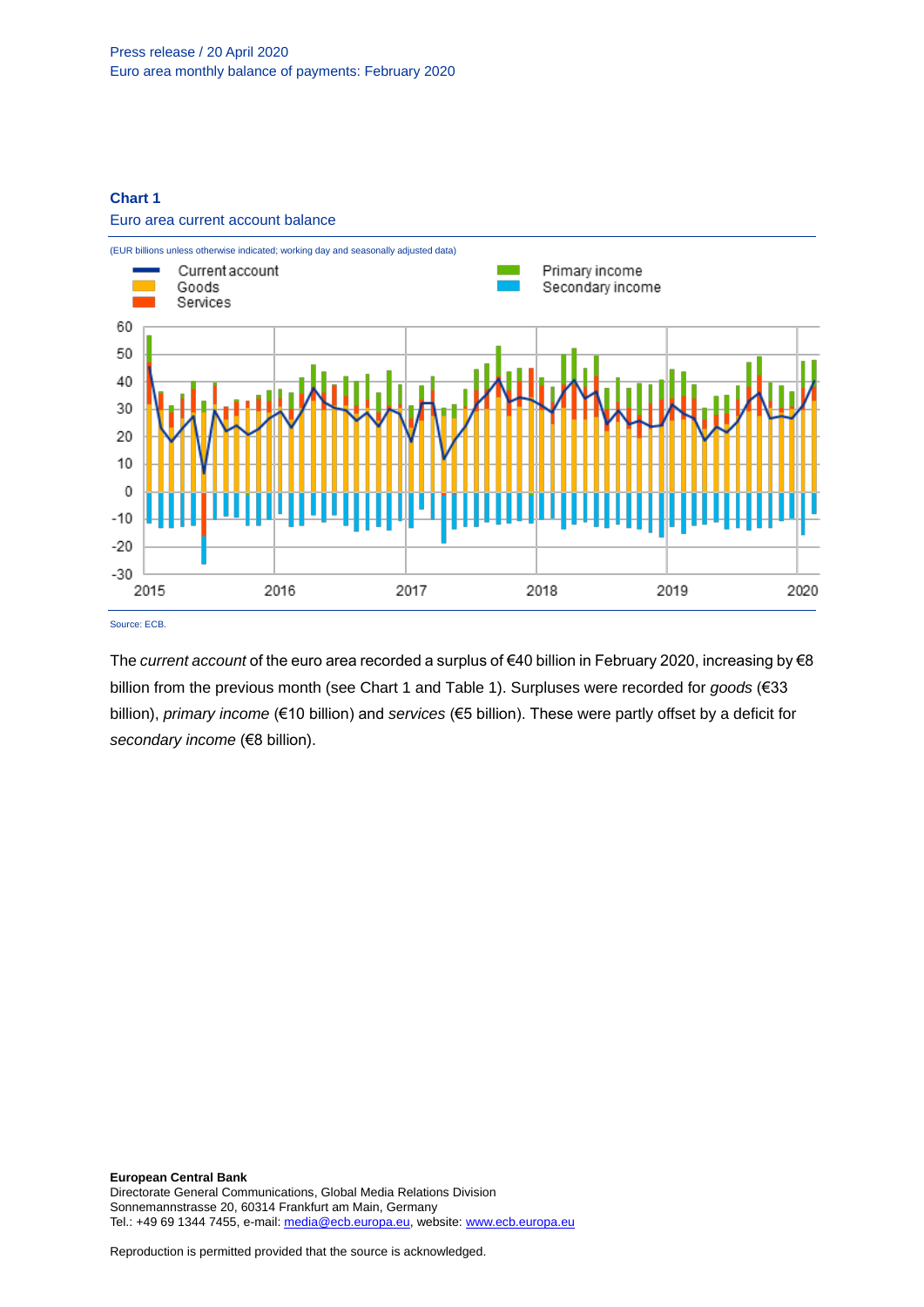# **Chart 1**

#### Euro area current account balance



The *current account* of the euro area recorded a surplus of €40 billion in February 2020, increasing by €8 billion from the previous month (see Chart 1 and Table 1). Surpluses were recorded for *goods* (€33 billion), *primary income* (€10 billion) and *services* (€5 billion). These were partly offset by a deficit for secondary income (€8 billion).

**European Central Bank** Directorate General Communications, Global Media Relations Division Sonnemannstrasse 20, 60314 Frankfurt am Main, Germany Tel.: +49 69 1344 7455, e-mail[: media@ecb.europa.eu,](mailto:media@ecb.europa.eu) website[: www.ecb.europa.eu](http://www.ecb.europa.eu/)

Reproduction is permitted provided that the source is acknowledged.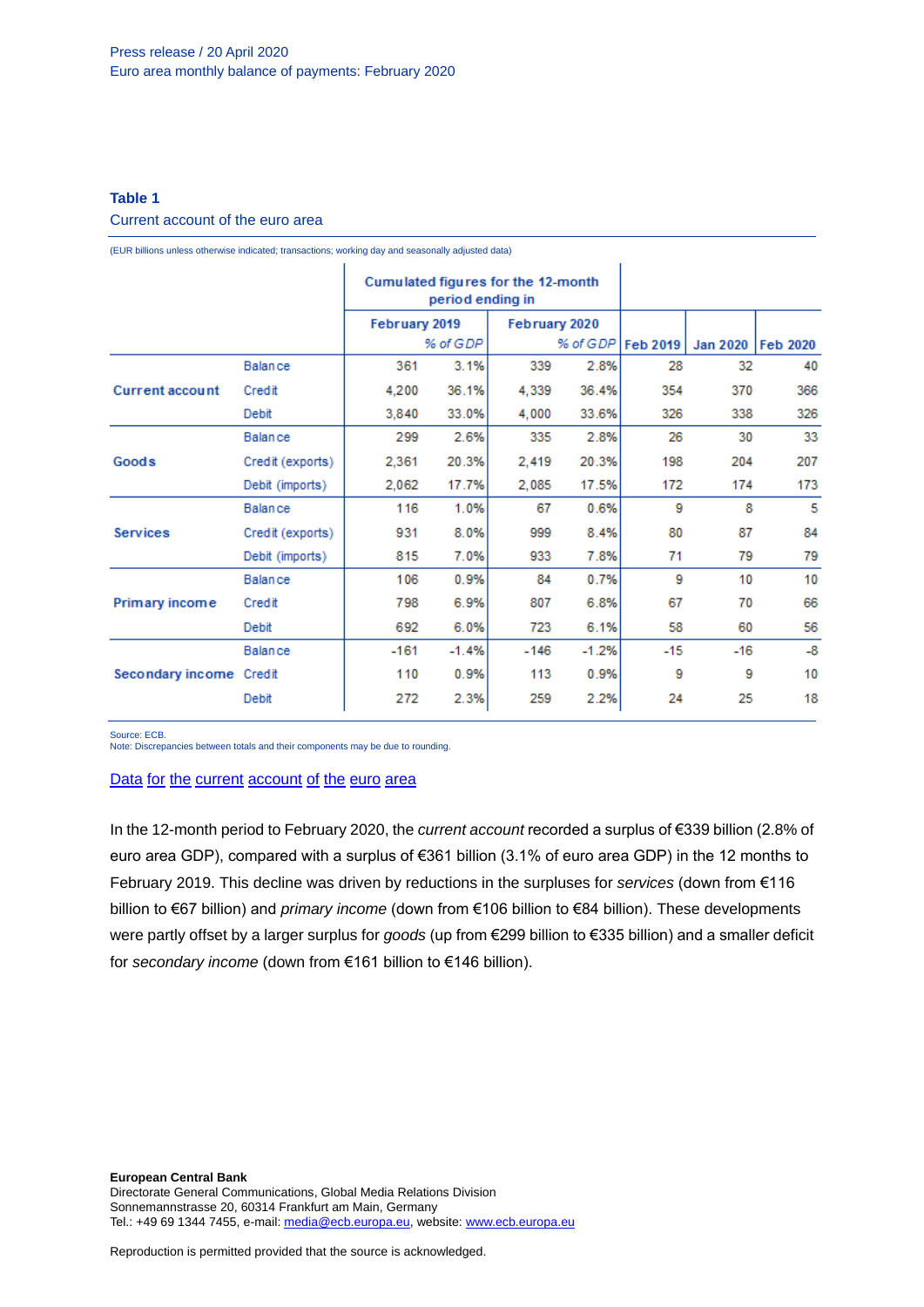# **Table 1**

# Current account of the euro area

(EUR billions unless otherwise indicated; transactions; working day and seasonally adjusted data)

|                         |                  | Cumulated figures for the 12-month<br>period ending in |         |               |         |                 |                 |                 |
|-------------------------|------------------|--------------------------------------------------------|---------|---------------|---------|-----------------|-----------------|-----------------|
|                         |                  | February 2019                                          |         | February 2020 |         |                 |                 |                 |
|                         |                  | % of GDP                                               |         | % of GDP      |         | <b>Feb 2019</b> | <b>Jan 2020</b> | <b>Feb 2020</b> |
| <b>Current account</b>  | <b>Balance</b>   | 361                                                    | 3.1%    | 339           | 2.8%    | 28              | 32              | 40              |
|                         | Credit           | 4,200                                                  | 36.1%   | 4,339         | 36.4%   | 354             | 370             | 366             |
|                         | Debit            | 3,840                                                  | 33.0%   | 4,000         | 33.6%   | 326             | 338             | 326             |
| Goods                   | <b>Balance</b>   | 299                                                    | 2.6%    | 335           | 2.8%    | 26              | 30              | 33              |
|                         | Credit (exports) | 2,361                                                  | 20.3%   | 2,419         | 20.3%   | 198             | 204             | 207             |
|                         | Debit (imports)  | 2,062                                                  | 17.7%   | 2,085         | 17.5%   | 172             | 174             | 173             |
| <b>Services</b>         | <b>Balance</b>   | 116                                                    | 1.0%    | 67            | 0.6%    | 9               | 8               | 5               |
|                         | Credit (exports) | 931                                                    | 8.0%    | 999           | 8.4%    | 80              | 87              | 84              |
|                         | Debit (imports)  | 815                                                    | 7.0%    | 933           | 7.8%    | 71              | 79              | 79              |
| Primary income          | <b>Balance</b>   | 106                                                    | 0.9%    | 84            | 0.7%    | 9               | 10              | 10              |
|                         | Credit           | 798                                                    | 6.9%    | 807           | 6.8%    | 67              | 70              | 66              |
|                         | Debit            | 692                                                    | 6.0%    | 723           | 6.1%    | 58              | 60              | 56              |
| Secondary income Credit | <b>Balance</b>   | $-161$                                                 | $-1.4%$ | $-146$        | $-1.2%$ | $-15$           | $-16$           | $-8$            |
|                         |                  | 110                                                    | 0.9%    | 113           | 0.9%    | 9               | 9               | 10              |
|                         | Debit            | 272                                                    | 2.3%    | 259           | 2.2%    | 24              | 25              | 18              |

Source: ECB.

Note: Discrepancies between totals and their components may be due to rounding.

# Data for the current [account](http://sdw.ecb.europa.eu/browseSelection.do?df=true&ec=&dc=&oc=&pb=&rc=&DATASET=0&removeItem=&removedItemList=&mergeFilter=&activeTab=&showHide=&FREQ.243=M&ADJUSTMENT.243=Y&REF_AREA.243=I8&ACCOUNTING_ENTRY.243=B&ACCOUNTING_ENTRY.243=C&ACCOUNTING_ENTRY.243=D&INT_ACC_ITEM.243=CA&INT_ACC_ITEM.243=G&INT_ACC_ITEM.243=IN1&INT_ACC_ITEM.243=IN2&INT_ACC_ITEM.243=S&node=9688874&legendRef=reference&legendNor=) of the euro area

In the 12-month period to February 2020, the *current account* recorded a surplus of €339 billion (2.8% of euro area GDP), compared with a surplus of €361 billion (3.1% of euro area GDP) in the 12 months to February 2019. This decline was driven by reductions in the surpluses for *services* (down from €116 billion to €67 billion) and *primary income* (down from €106 billion to €84 billion). These developments were partly offset by a larger surplus for *goods* (up from €299 billion to €335 billion) and a smaller deficit for *secondary income* (down from €161 billion to €146 billion).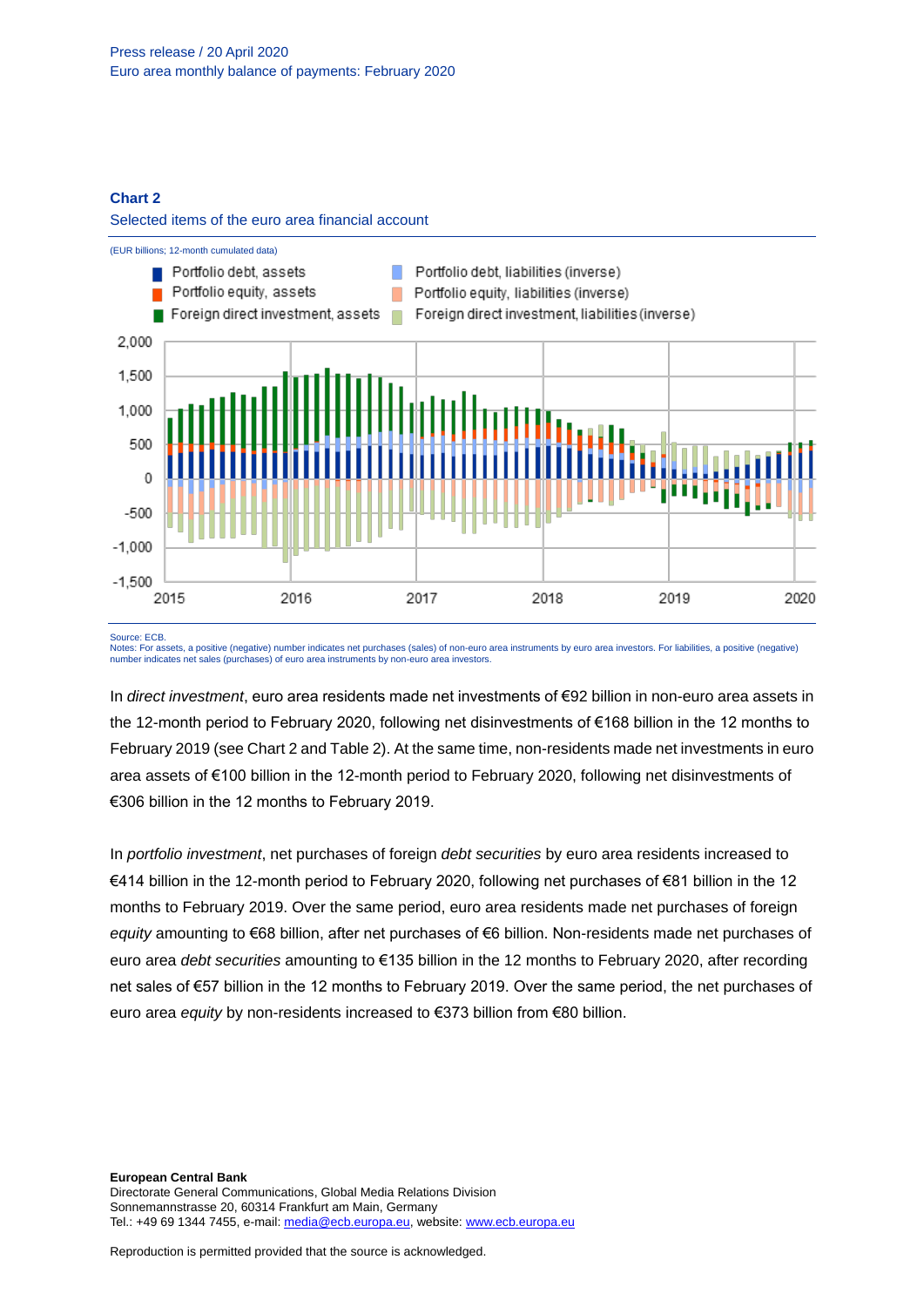#### **Chart 2**





#### Source: ECB.

Notes: For assets, a positive (negative) number indicates net purchases (sales) of non-euro area instruments by euro area investors. For liabilities, a positive (negative) number indicates net sales (purchases) of euro area instruments by non-euro area investors.

In *direct investment*, euro area residents made net investments of €92 billion in non-euro area assets in the 12-month period to February 2020, following net disinvestments of €168 billion in the 12 months to February 2019 (see Chart 2 and Table 2). At the same time, non-residents made net investments in euro area assets of €100 billion in the 12-month period to February 2020, following net disinvestments of €306 billion in the 12 months to February 2019.

In *portfolio investment*, net purchases of foreign *debt securities* by euro area residents increased to €414 billion in the 12-month period to February 2020, following net purchases of €81 billion in the 12 months to February 2019. Over the same period, euro area residents made net purchases of foreign *equity* amounting to €68 billion, after net purchases of €6 billion. Non-residents made net purchases of euro area *debt securities* amounting to €135 billion in the 12 months to February 2020, after recording net sales of €57 billion in the 12 months to February 2019. Over the same period, the net purchases of euro area *equity* by non-residents increased to €373 billion from €80 billion.

**European Central Bank** Directorate General Communications, Global Media Relations Division Sonnemannstrasse 20, 60314 Frankfurt am Main, Germany Tel.: +49 69 1344 7455, e-mail[: media@ecb.europa.eu,](mailto:media@ecb.europa.eu) website[: www.ecb.europa.eu](http://www.ecb.europa.eu/)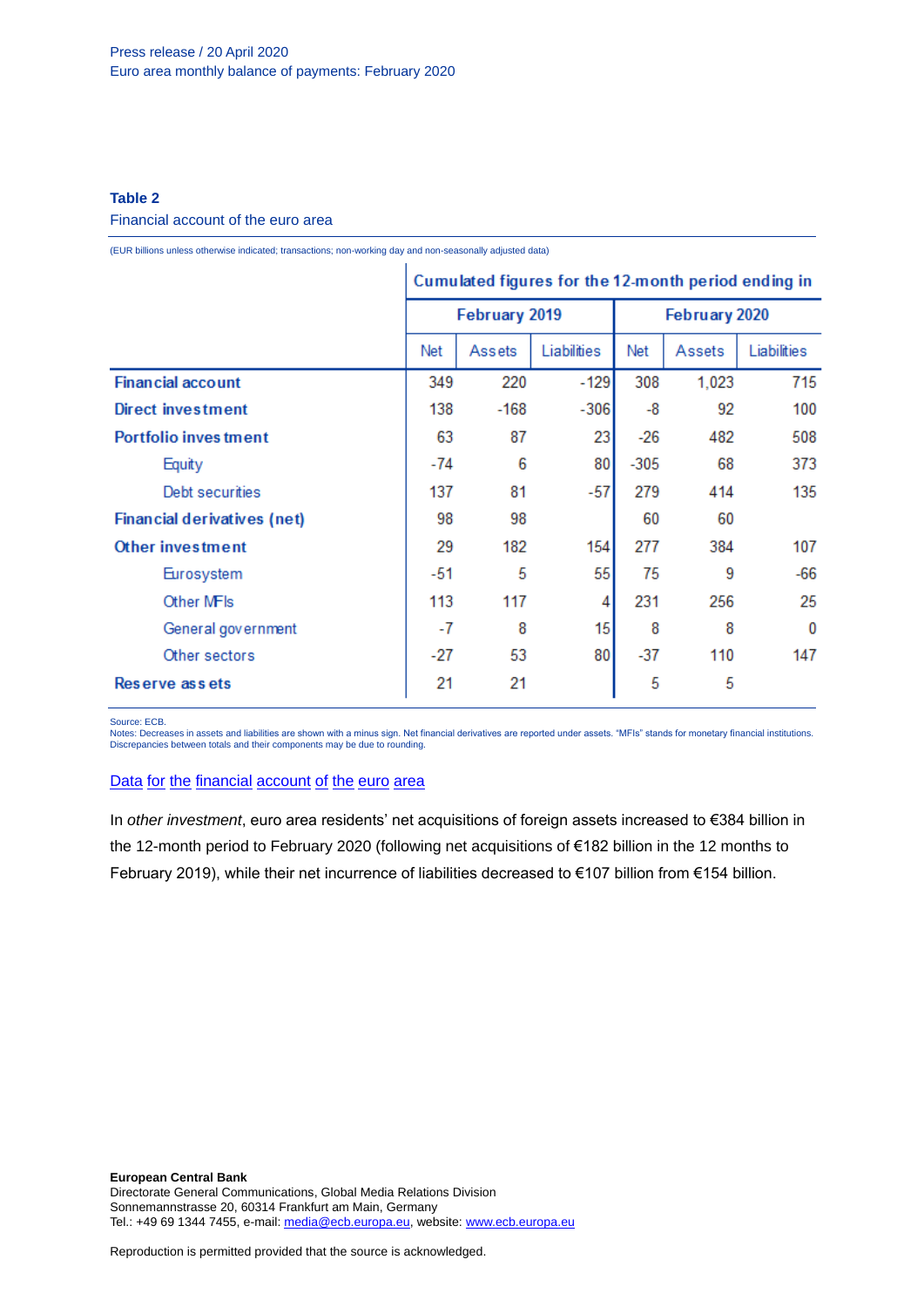# **Table 2**

#### Financial account of the euro area

(EUR billions unless otherwise indicated; transactions; non-working day and non-seasonally adjusted data)

|                                    | Cumulated figures for the 12-month period ending in |               |                  |               |        |             |
|------------------------------------|-----------------------------------------------------|---------------|------------------|---------------|--------|-------------|
|                                    |                                                     | February 2019 |                  | February 2020 |        |             |
|                                    | Net                                                 | Assets        | Liabilities      | Net           | Assets | Liabilities |
| <b>Financial account</b>           |                                                     | 220           | $-129$           | 308           | 1,023  | 715         |
| Direct investment                  | 138                                                 | $-168$        | $-306$           | -8            | 92     | 100         |
| <b>Portfolio inves tment</b>       | 63                                                  | 87            | 23               | $-26$         | 482    | 508         |
| Equity                             | -74                                                 | 6             | 80               | $-305$        | 68     | 373         |
| Debt securities                    | 137                                                 | 81            | $-57$            | 279           | 414    | 135         |
| <b>Financial derivatives (net)</b> | 98                                                  | 98            |                  | 60            | 60     |             |
| Other investment                   | 29                                                  | 182           | 154              | 277           | 384    | 107         |
| Eurosystem                         | -51                                                 | 5             | 55               | 75            | 9      | $-66$       |
| Other MFIs                         | 113                                                 | 117           | 4                | 231           | 256    | 25          |
| General government                 | -7                                                  | 8             | 15 <sup>15</sup> | 8             | 8      | 0           |
| Other sectors                      | -27                                                 | 53            | 80               | $-37$         | 110    | 147         |
| Reserve assets                     | 21                                                  | 21            |                  | 5             | 5      |             |

Source: ECB.

Notes: Decreases in assets and liabilities are shown with a minus sign. Net financial derivatives are reported under assets. "MFIs" stands for monetary financial institutions. Discrepancies between totals and their components may be due to rounding.

# Data for the [financial](http://sdw.ecb.europa.eu/browseSelection.do?df=true&ec=&dc=&oc=&pb=&rc=&DATASET=0&removeItem=&removedItemList=&mergeFilter=&activeTab=&showHide=&FREQ.243=M&REF_AREA.243=I8&REF_SECTOR.243=S1&REF_SECTOR.243=S121&REF_SECTOR.243=S12T&REF_SECTOR.243=S13&REF_SECTOR.243=S1P&COUNTERPART_SECTOR.243=S1&FLOW_STOCK_ENTRY.243=T&ACCOUNTING_ENTRY.243=A&ACCOUNTING_ENTRY.243=L&ACCOUNTING_ENTRY.243=N&FUNCTIONAL_CAT.243=D&FUNCTIONAL_CAT.243=O&FUNCTIONAL_CAT.243=P&FUNCTIONAL_CAT.243=R&INSTR_ASSET.243=F&INSTR_ASSET.243=F3&INSTR_ASSET.243=F5&INSTR_ASSET.243=FL&MATURITY.243=T&MATURITY.243=_Z&node=9688874&legendRef=reference&legendNor=) account of the euro area

In *other investment*, euro area residents' net acquisitions of foreign assets increased to €384 billion in the 12-month period to February 2020 (following net acquisitions of €182 billion in the 12 months to February 2019), while their net incurrence of liabilities decreased to €107 billion from €154 billion.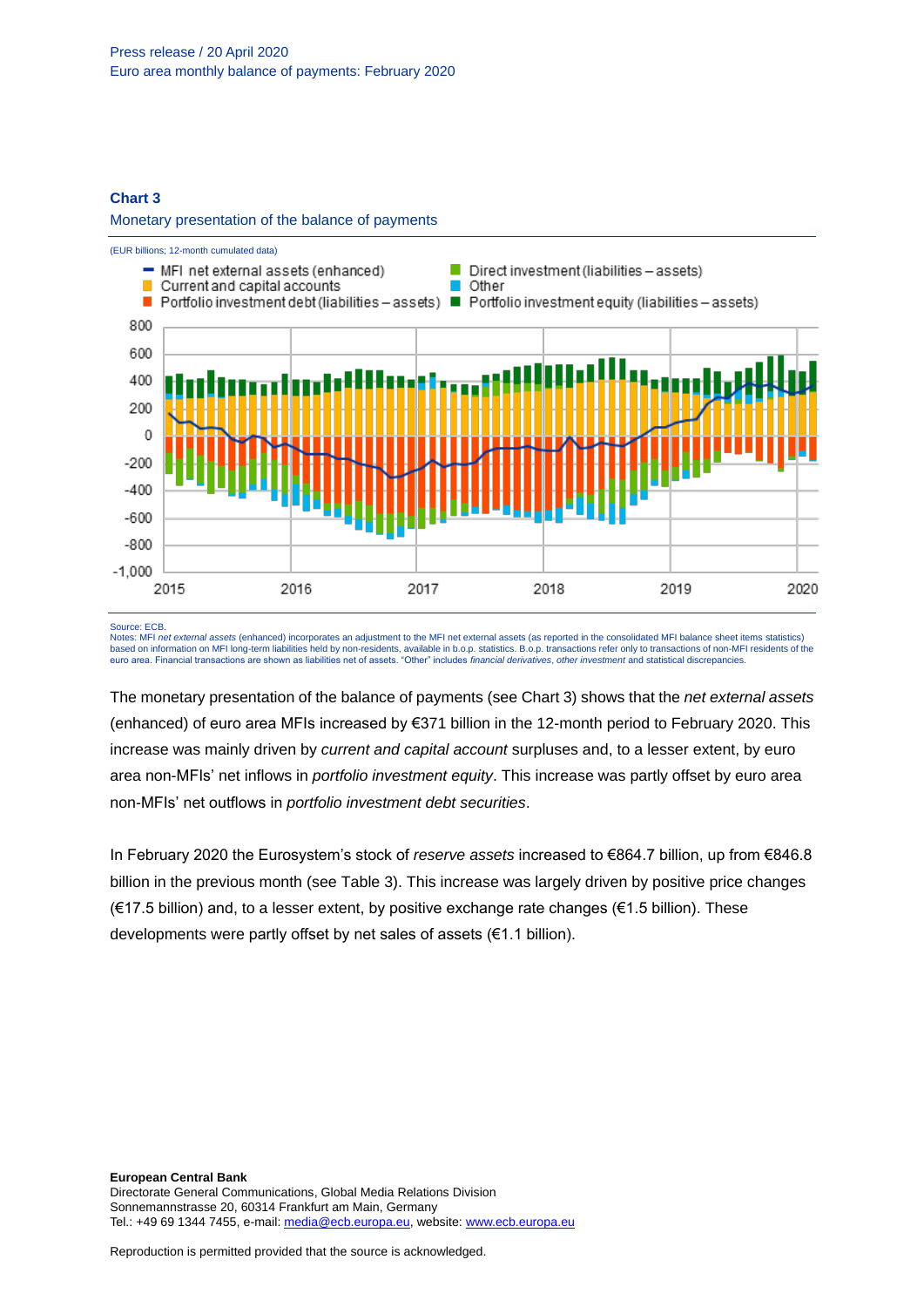#### **Chart 3**

#### Monetary presentation of the balance of payments



#### Source: ECB.

Notes: MFI *net external assets* (enhanced) incorporates an adjustment to the MFI net external assets (as reported in the consolidated MFI balance sheet items statistics) based on information on MFI long-term liabilities held by non-residents, available in b.o.p. statistics. B.o.p. transactions refer only to transactions of non-MFI residents of the euro area. Financial transactions are shown as liabilities net of assets. "Other" includes *financial derivatives*, *other investment* and statistical discrepancies.

The monetary presentation of the balance of payments (see Chart 3) shows that the *net external assets*  (enhanced) of euro area MFIs increased by €371 billion in the 12-month period to February 2020. This increase was mainly driven by *current and capital account* surpluses and, to a lesser extent, by euro area non-MFIs' net inflows in *portfolio investment equity*. This increase was partly offset by euro area non-MFIs' net outflows in *portfolio investment debt securities*.

In February 2020 the Eurosystem's stock of *reserve assets* increased to €864.7 billion, up from €846.8 billion in the previous month (see Table 3). This increase was largely driven by positive price changes (€17.5 billion) and, to a lesser extent, by positive exchange rate changes (€1.5 billion). These developments were partly offset by net sales of assets (€1.1 billion).

**European Central Bank** Directorate General Communications, Global Media Relations Division Sonnemannstrasse 20, 60314 Frankfurt am Main, Germany Tel.: +49 69 1344 7455, e-mail[: media@ecb.europa.eu,](mailto:media@ecb.europa.eu) website[: www.ecb.europa.eu](http://www.ecb.europa.eu/)

Reproduction is permitted provided that the source is acknowledged.